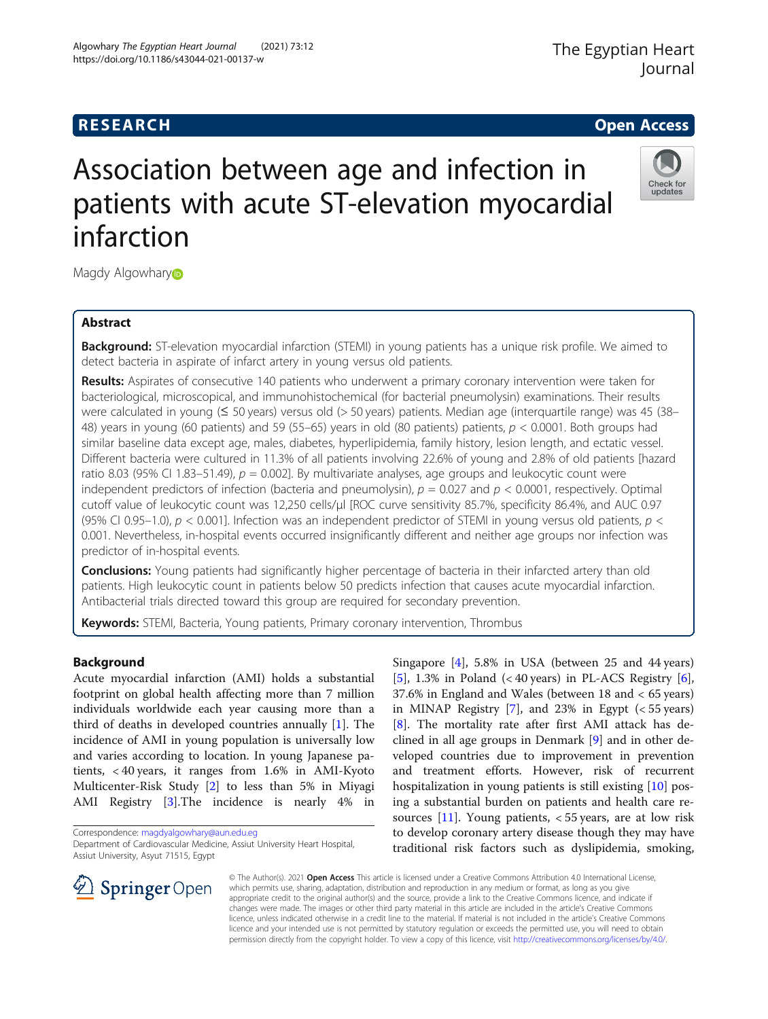Algowhary The Egyptian Heart Journal (2021) 73:12

https://doi.org/10.1186/s43044-021-00137-w

Check for updates

# Association between age and infection in patients with acute ST-elevation myocardial infarction

Magd[y](http://orcid.org/0000-0002-6806-9042) Algowhary<sup>®</sup>

# Abstract

**Background:** ST-elevation myocardial infarction (STEMI) in young patients has a unique risk profile. We aimed to detect bacteria in aspirate of infarct artery in young versus old patients.

Results: Aspirates of consecutive 140 patients who underwent a primary coronary intervention were taken for bacteriological, microscopical, and immunohistochemical (for bacterial pneumolysin) examinations. Their results were calculated in young (≤ 50 years) versus old (> 50 years) patients. Median age (interquartile range) was 45 (38– 48) years in young (60 patients) and 59 (55–65) years in old (80 patients) patients,  $p < 0.0001$ . Both groups had similar baseline data except age, males, diabetes, hyperlipidemia, family history, lesion length, and ectatic vessel. Different bacteria were cultured in 11.3% of all patients involving 22.6% of young and 2.8% of old patients [hazard ratio 8.03 (95% CI 1.83–51.49),  $p = 0.002$ ]. By multivariate analyses, age groups and leukocytic count were independent predictors of infection (bacteria and pneumolysin),  $p = 0.027$  and  $p < 0.0001$ , respectively. Optimal cutoff value of leukocytic count was 12,250 cells/μl [ROC curve sensitivity 85.7%, specificity 86.4%, and AUC 0.97 (95% CI 0.95–1.0),  $p < 0.001$ ]. Infection was an independent predictor of STEMI in young versus old patients,  $p <$ 0.001. Nevertheless, in-hospital events occurred insignificantly different and neither age groups nor infection was predictor of in-hospital events.

**Conclusions:** Young patients had significantly higher percentage of bacteria in their infarcted artery than old patients. High leukocytic count in patients below 50 predicts infection that causes acute myocardial infarction. Antibacterial trials directed toward this group are required for secondary prevention.

Keywords: STEMI, Bacteria, Young patients, Primary coronary intervention, Thrombus

# Background

Acute myocardial infarction (AMI) holds a substantial footprint on global health affecting more than 7 million individuals worldwide each year causing more than a third of deaths in developed countries annually [\[1](#page-6-0)]. The incidence of AMI in young population is universally low and varies according to location. In young Japanese patients, < 40 years, it ranges from 1.6% in AMI-Kyoto Multicenter-Risk Study [\[2](#page-6-0)] to less than 5% in Miyagi AMI Registry [[3\]](#page-6-0).The incidence is nearly 4% in

Correspondence: [magdyalgowhary@aun.edu.eg](mailto:magdyalgowhary@aun.edu.eg)

Singapore [[4\]](#page-7-0), 5.8% in USA (between 25 and 44 years) [[5\]](#page-7-0), 1.3% in Poland  $\left($  < 40 years) in PL-ACS Registry [\[6](#page-7-0)], 37.6% in England and Wales (between 18 and < 65 years) in MINAP Registry  $[7]$  $[7]$ , and 23% in Egypt (< 55 years) [[8\]](#page-7-0). The mortality rate after first AMI attack has declined in all age groups in Denmark [[9\]](#page-7-0) and in other developed countries due to improvement in prevention and treatment efforts. However, risk of recurrent hospitalization in young patients is still existing [\[10\]](#page-7-0) posing a substantial burden on patients and health care resources  $[11]$  $[11]$ . Young patients, < 55 years, are at low risk to develop coronary artery disease though they may have traditional risk factors such as dyslipidemia, smoking,



© The Author(s). 2021 Open Access This article is licensed under a Creative Commons Attribution 4.0 International License, which permits use, sharing, adaptation, distribution and reproduction in any medium or format, as long as you give appropriate credit to the original author(s) and the source, provide a link to the Creative Commons licence, and indicate if changes were made. The images or other third party material in this article are included in the article's Creative Commons licence, unless indicated otherwise in a credit line to the material. If material is not included in the article's Creative Commons licence and your intended use is not permitted by statutory regulation or exceeds the permitted use, you will need to obtain permission directly from the copyright holder. To view a copy of this licence, visit <http://creativecommons.org/licenses/by/4.0/>.

Department of Cardiovascular Medicine, Assiut University Heart Hospital, Assiut University, Asyut 71515, Egypt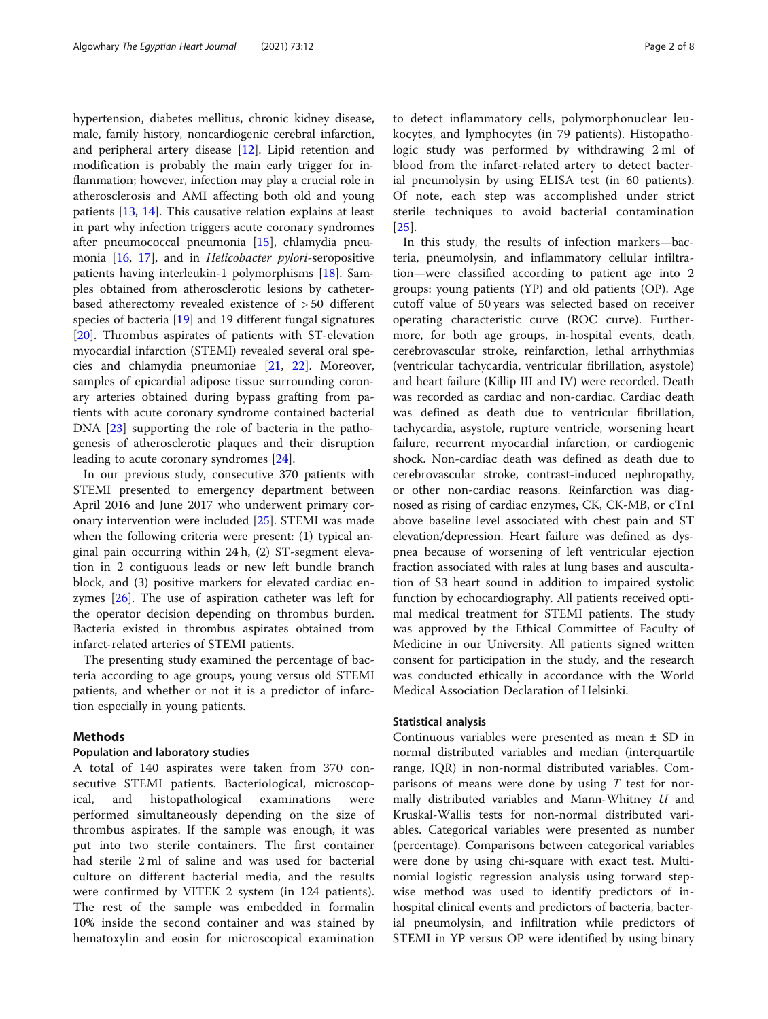hypertension, diabetes mellitus, chronic kidney disease, male, family history, noncardiogenic cerebral infarction, and peripheral artery disease [[12](#page-7-0)]. Lipid retention and modification is probably the main early trigger for inflammation; however, infection may play a crucial role in atherosclerosis and AMI affecting both old and young patients [\[13](#page-7-0), [14](#page-7-0)]. This causative relation explains at least in part why infection triggers acute coronary syndromes after pneumococcal pneumonia [\[15](#page-7-0)], chlamydia pneumonia [\[16](#page-7-0), [17](#page-7-0)], and in Helicobacter pylori-seropositive patients having interleukin-1 polymorphisms [\[18](#page-7-0)]. Samples obtained from atherosclerotic lesions by catheterbased atherectomy revealed existence of > 50 different species of bacteria [\[19](#page-7-0)] and 19 different fungal signatures [[20\]](#page-7-0). Thrombus aspirates of patients with ST-elevation myocardial infarction (STEMI) revealed several oral species and chlamydia pneumoniae [\[21,](#page-7-0) [22\]](#page-7-0). Moreover, samples of epicardial adipose tissue surrounding coronary arteries obtained during bypass grafting from patients with acute coronary syndrome contained bacterial DNA [\[23](#page-7-0)] supporting the role of bacteria in the pathogenesis of atherosclerotic plaques and their disruption leading to acute coronary syndromes [[24\]](#page-7-0).

In our previous study, consecutive 370 patients with STEMI presented to emergency department between April 2016 and June 2017 who underwent primary coronary intervention were included [\[25](#page-7-0)]. STEMI was made when the following criteria were present: (1) typical anginal pain occurring within 24 h, (2) ST-segment elevation in 2 contiguous leads or new left bundle branch block, and (3) positive markers for elevated cardiac enzymes [\[26](#page-7-0)]. The use of aspiration catheter was left for the operator decision depending on thrombus burden. Bacteria existed in thrombus aspirates obtained from infarct-related arteries of STEMI patients.

The presenting study examined the percentage of bacteria according to age groups, young versus old STEMI patients, and whether or not it is a predictor of infarction especially in young patients.

# Methods

## Population and laboratory studies

A total of 140 aspirates were taken from 370 consecutive STEMI patients. Bacteriological, microscopical, and histopathological examinations were performed simultaneously depending on the size of thrombus aspirates. If the sample was enough, it was put into two sterile containers. The first container had sterile 2 ml of saline and was used for bacterial culture on different bacterial media, and the results were confirmed by VITEK 2 system (in 124 patients). The rest of the sample was embedded in formalin 10% inside the second container and was stained by hematoxylin and eosin for microscopical examination to detect inflammatory cells, polymorphonuclear leukocytes, and lymphocytes (in 79 patients). Histopathologic study was performed by withdrawing 2 ml of blood from the infarct-related artery to detect bacterial pneumolysin by using ELISA test (in 60 patients). Of note, each step was accomplished under strict sterile techniques to avoid bacterial contamination [[25\]](#page-7-0).

In this study, the results of infection markers—bacteria, pneumolysin, and inflammatory cellular infiltration—were classified according to patient age into 2 groups: young patients (YP) and old patients (OP). Age cutoff value of 50 years was selected based on receiver operating characteristic curve (ROC curve). Furthermore, for both age groups, in-hospital events, death, cerebrovascular stroke, reinfarction, lethal arrhythmias (ventricular tachycardia, ventricular fibrillation, asystole) and heart failure (Killip III and IV) were recorded. Death was recorded as cardiac and non-cardiac. Cardiac death was defined as death due to ventricular fibrillation, tachycardia, asystole, rupture ventricle, worsening heart failure, recurrent myocardial infarction, or cardiogenic shock. Non-cardiac death was defined as death due to cerebrovascular stroke, contrast-induced nephropathy, or other non-cardiac reasons. Reinfarction was diagnosed as rising of cardiac enzymes, CK, CK-MB, or cTnI above baseline level associated with chest pain and ST elevation/depression. Heart failure was defined as dyspnea because of worsening of left ventricular ejection fraction associated with rales at lung bases and auscultation of S3 heart sound in addition to impaired systolic function by echocardiography. All patients received optimal medical treatment for STEMI patients. The study was approved by the Ethical Committee of Faculty of Medicine in our University. All patients signed written consent for participation in the study, and the research was conducted ethically in accordance with the World Medical Association Declaration of Helsinki.

# Statistical analysis

Continuous variables were presented as mean  $\pm$  SD in normal distributed variables and median (interquartile range, IQR) in non-normal distributed variables. Comparisons of means were done by using  $T$  test for normally distributed variables and Mann-Whitney  $U$  and Kruskal-Wallis tests for non-normal distributed variables. Categorical variables were presented as number (percentage). Comparisons between categorical variables were done by using chi-square with exact test. Multinomial logistic regression analysis using forward stepwise method was used to identify predictors of inhospital clinical events and predictors of bacteria, bacterial pneumolysin, and infiltration while predictors of STEMI in YP versus OP were identified by using binary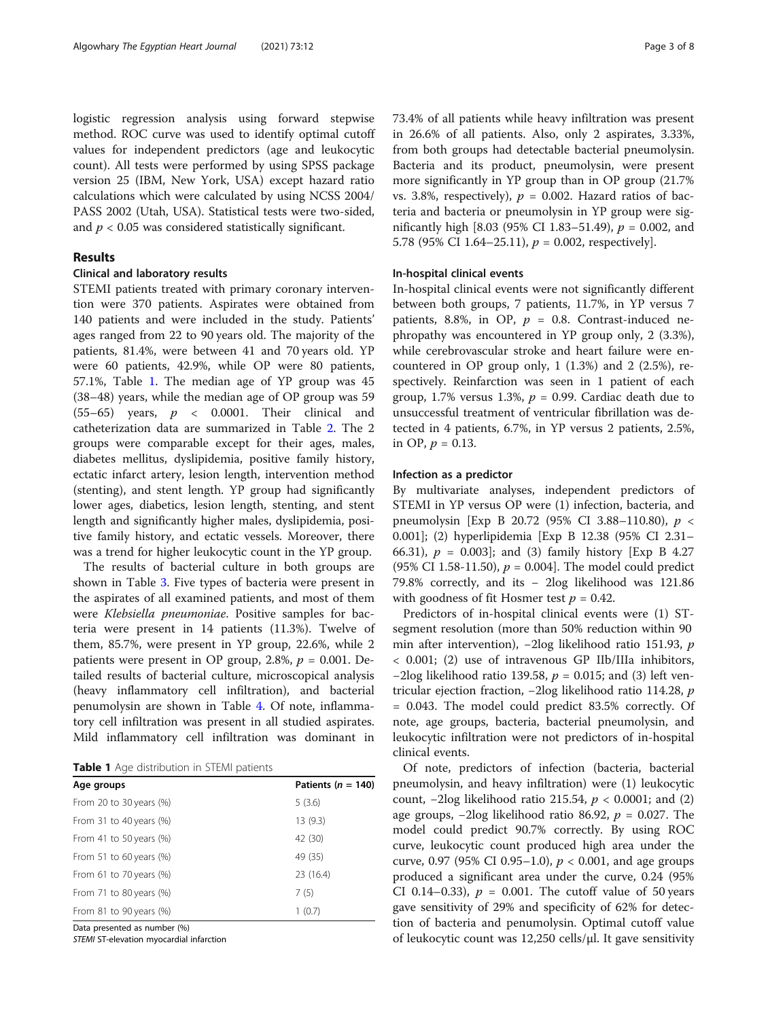logistic regression analysis using forward stepwise method. ROC curve was used to identify optimal cutoff values for independent predictors (age and leukocytic count). All tests were performed by using SPSS package version 25 (IBM, New York, USA) except hazard ratio calculations which were calculated by using NCSS 2004/ PASS 2002 (Utah, USA). Statistical tests were two-sided, and  $p < 0.05$  was considered statistically significant.

# Results

# Clinical and laboratory results

STEMI patients treated with primary coronary intervention were 370 patients. Aspirates were obtained from 140 patients and were included in the study. Patients' ages ranged from 22 to 90 years old. The majority of the patients, 81.4%, were between 41 and 70 years old. YP were 60 patients, 42.9%, while OP were 80 patients, 57.1%, Table 1. The median age of YP group was 45 (38–48) years, while the median age of OP group was 59 (55–65) years,  $p \lt 0.0001$ . Their clinical and catheterization data are summarized in Table [2.](#page-3-0) The 2 groups were comparable except for their ages, males, diabetes mellitus, dyslipidemia, positive family history, ectatic infarct artery, lesion length, intervention method (stenting), and stent length. YP group had significantly lower ages, diabetics, lesion length, stenting, and stent length and significantly higher males, dyslipidemia, positive family history, and ectatic vessels. Moreover, there was a trend for higher leukocytic count in the YP group.

The results of bacterial culture in both groups are shown in Table [3](#page-4-0). Five types of bacteria were present in the aspirates of all examined patients, and most of them were Klebsiella pneumoniae. Positive samples for bacteria were present in 14 patients (11.3%). Twelve of them, 85.7%, were present in YP group, 22.6%, while 2 patients were present in OP group, 2.8%,  $p = 0.001$ . Detailed results of bacterial culture, microscopical analysis (heavy inflammatory cell infiltration), and bacterial penumolysin are shown in Table [4.](#page-4-0) Of note, inflammatory cell infiltration was present in all studied aspirates. Mild inflammatory cell infiltration was dominant in

|  |  | Table 1 Age distribution in STEMI patients |  |  |  |
|--|--|--------------------------------------------|--|--|--|
|--|--|--------------------------------------------|--|--|--|

| Age groups                 | Patients ( $n = 140$ ) |
|----------------------------|------------------------|
| From 20 to 30 years (%)    | 5(3.6)                 |
| From 31 to 40 years $(\%)$ | 13(9.3)                |
| From 41 to 50 years $%$    | 42 (30)                |
| From 51 to 60 years $(\%)$ | 49 (35)                |
| From 61 to 70 years (%)    | 23 (16.4)              |
| From 71 to 80 years $(\%)$ | 7(5)                   |
| From 81 to 90 years (%)    | 1(0.7)                 |

Data presented as number (%)

STEMI ST-elevation myocardial infarction

73.4% of all patients while heavy infiltration was present in 26.6% of all patients. Also, only 2 aspirates, 3.33%, from both groups had detectable bacterial pneumolysin. Bacteria and its product, pneumolysin, were present more significantly in YP group than in OP group (21.7% vs. 3.8%, respectively),  $p = 0.002$ . Hazard ratios of bacteria and bacteria or pneumolysin in YP group were significantly high [8.03 (95% CI 1.83–51.49),  $p = 0.002$ , and 5.78 (95% CI 1.64–25.11),  $p = 0.002$ , respectively].

# In-hospital clinical events

In-hospital clinical events were not significantly different between both groups, 7 patients, 11.7%, in YP versus 7 patients, 8.8%, in OP,  $p = 0.8$ . Contrast-induced nephropathy was encountered in YP group only, 2 (3.3%), while cerebrovascular stroke and heart failure were encountered in OP group only,  $1(1.3%)$  and  $2(2.5%),$  respectively. Reinfarction was seen in 1 patient of each group, 1.7% versus 1.3%,  $p = 0.99$ . Cardiac death due to unsuccessful treatment of ventricular fibrillation was detected in 4 patients, 6.7%, in YP versus 2 patients, 2.5%, in OP,  $p = 0.13$ .

#### Infection as a predictor

By multivariate analyses, independent predictors of STEMI in YP versus OP were (1) infection, bacteria, and pneumolysin [Exp B 20.72 (95% CI 3.88–110.80), p < 0.001]; (2) hyperlipidemia [Exp B 12.38 (95% CI 2.31– 66.31),  $p = 0.003$ ; and (3) family history [Exp B 4.27 (95% CI 1.58-11.50),  $p = 0.004$ . The model could predict 79.8% correctly, and its − 2log likelihood was 121.86 with goodness of fit Hosmer test  $p = 0.42$ .

Predictors of in-hospital clinical events were (1) STsegment resolution (more than 50% reduction within 90 min after intervention), −2log likelihood ratio 151.93, p < 0.001; (2) use of intravenous GP IIb/IIIa inhibitors,  $-2\log$  likelihood ratio 139.58,  $p = 0.015$ ; and (3) left ventricular ejection fraction, −2log likelihood ratio 114.28, p = 0.043. The model could predict 83.5% correctly. Of note, age groups, bacteria, bacterial pneumolysin, and leukocytic infiltration were not predictors of in-hospital clinical events.

Of note, predictors of infection (bacteria, bacterial pneumolysin, and heavy infiltration) were (1) leukocytic count,  $-2\log$  likelihood ratio 215.54,  $p < 0.0001$ ; and (2) age groups,  $-2\log$  likelihood ratio 86.92,  $p = 0.027$ . The model could predict 90.7% correctly. By using ROC curve, leukocytic count produced high area under the curve, 0.97 (95% CI 0.95–1.0),  $p < 0.001$ , and age groups produced a significant area under the curve, 0.24 (95% CI 0.14–0.33),  $p = 0.001$ . The cutoff value of 50 years gave sensitivity of 29% and specificity of 62% for detection of bacteria and penumolysin. Optimal cutoff value of leukocytic count was 12,250 cells/μl. It gave sensitivity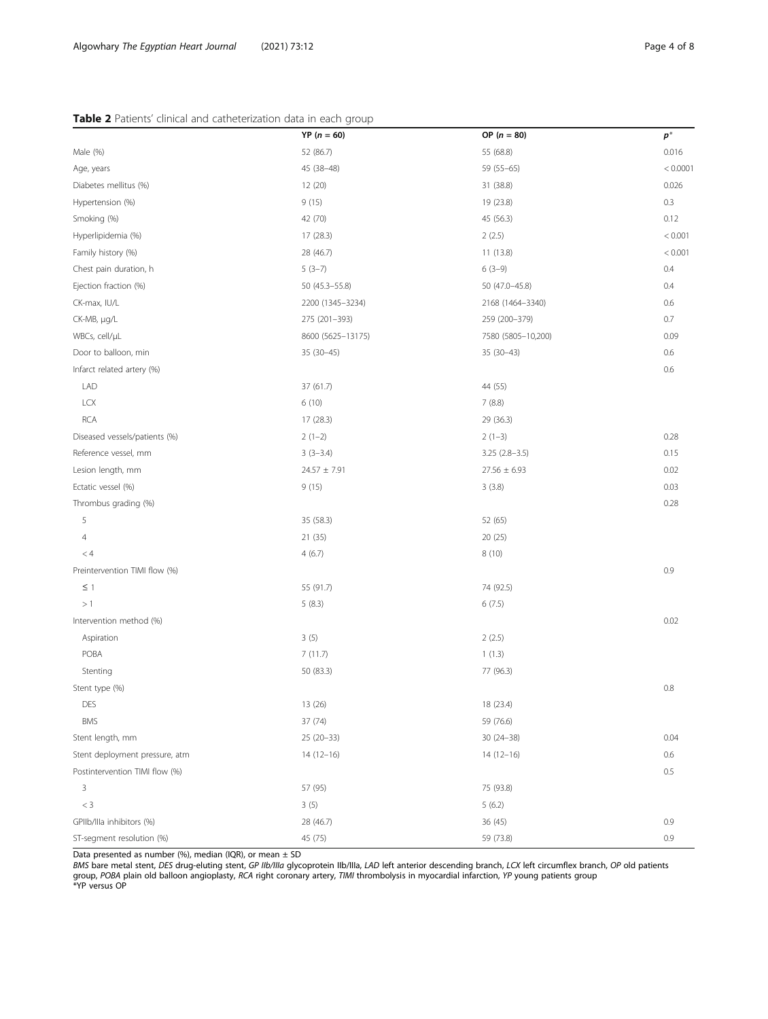# <span id="page-3-0"></span>Table 2 Patients' clinical and catheterization data in each group

|                                | $YP (n = 60)$     | OP $(n = 80)$      | $p^*$    |  |
|--------------------------------|-------------------|--------------------|----------|--|
| Male (%)                       | 52 (86.7)         | 55 (68.8)          | 0.016    |  |
| Age, years                     | 45 (38-48)        | 59 (55-65)         | < 0.0001 |  |
| Diabetes mellitus (%)          | 12 (20)           | 31 (38.8)          | 0.026    |  |
| Hypertension (%)               | 9(15)             | 19 (23.8)          | 0.3      |  |
| Smoking (%)                    | 42 (70)           | 45 (56.3)          | 0.12     |  |
| Hyperlipidemia (%)             | 17 (28.3)         | 2(2.5)             | < 0.001  |  |
| Family history (%)             | 28 (46.7)         | 11 (13.8)          | < 0.001  |  |
| Chest pain duration, h         | $5(3-7)$          | $6(3-9)$           | 0.4      |  |
| Ejection fraction (%)          | 50 (45.3-55.8)    | 50 (47.0-45.8)     | 0.4      |  |
| CK-max, IU/L                   | 2200 (1345-3234)  | 2168 (1464-3340)   | 0.6      |  |
| CK-MB, µg/L                    | 275 (201-393)     | 259 (200-379)      | 0.7      |  |
| WBCs, cell/µL                  | 8600 (5625-13175) | 7580 (5805-10,200) | 0.09     |  |
| Door to balloon, min           | $35(30-45)$       | $35(30-43)$        | 0.6      |  |
| Infarct related artery (%)     |                   |                    | 0.6      |  |
| LAD                            | 37 (61.7)         | 44 (55)            |          |  |
| <b>LCX</b>                     | 6(10)             | 7(8.8)             |          |  |
| <b>RCA</b>                     | 17 (28.3)         | 29 (36.3)          |          |  |
| Diseased vessels/patients (%)  | $2(1-2)$          | $2(1-3)$           | 0.28     |  |
| Reference vessel, mm           | $3(3-3.4)$        | $3.25(2.8-3.5)$    | 0.15     |  |
| Lesion length, mm              | $24.57 \pm 7.91$  | $27.56 \pm 6.93$   | 0.02     |  |
| Ectatic vessel (%)             | 9(15)             | 3(3.8)             | 0.03     |  |
| Thrombus grading (%)           |                   |                    | 0.28     |  |
| 5                              | 35 (58.3)         | 52 (65)            |          |  |
| 4                              | 21 (35)           | 20 (25)            |          |  |
| < 4                            | 4(6.7)            | 8(10)              |          |  |
| Preintervention TIMI flow (%)  |                   |                    | 0.9      |  |
| $\leq$ 1                       | 55 (91.7)         | 74 (92.5)          |          |  |
| >1                             | 5(8.3)            | 6(7.5)             |          |  |
| Intervention method (%)        |                   |                    | 0.02     |  |
| Aspiration                     | 3(5)              | 2(2.5)             |          |  |
| POBA                           | 7(11.7)           | 1(1.3)             |          |  |
| Stenting                       | 50 (83.3)         | 77 (96.3)          |          |  |
| Stent type (%)                 |                   |                    | 0.8      |  |
| DES                            | 13 (26)           | 18 (23.4)          |          |  |
| <b>BMS</b>                     | 37 (74)           | 59 (76.6)          |          |  |
| Stent length, mm               | 25 (20-33)        | $30(24 - 38)$      | 0.04     |  |
| Stent deployment pressure, atm | $14(12-16)$       | $14(12-16)$        | 0.6      |  |
| Postintervention TIMI flow (%) |                   |                    | $0.5\,$  |  |
| 3                              | 57 (95)           | 75 (93.8)          |          |  |
| $<$ 3                          | 3(5)              | 5(6.2)             |          |  |
| GPIIb/Illa inhibitors (%)      | 28 (46.7)         | 36 (45)            | 0.9      |  |
| ST-segment resolution (%)      | 45 (75)           | 59 (73.8)          | 0.9      |  |

Data presented as number (%), median (IQR), or mean  $\pm$  SD

BMS bare metal stent, DES drug-eluting stent, GP IIb/IIIa glycoprotein IIb/IIIa, LAD left anterior descending branch, LCX left circumflex branch, OP old patients group, *POBA* plain old balloon angioplasty, *RCA* right coronary artery, *TIMI* thrombolysis in myocardial infarction, YP young patients group<br>\*YP versus OP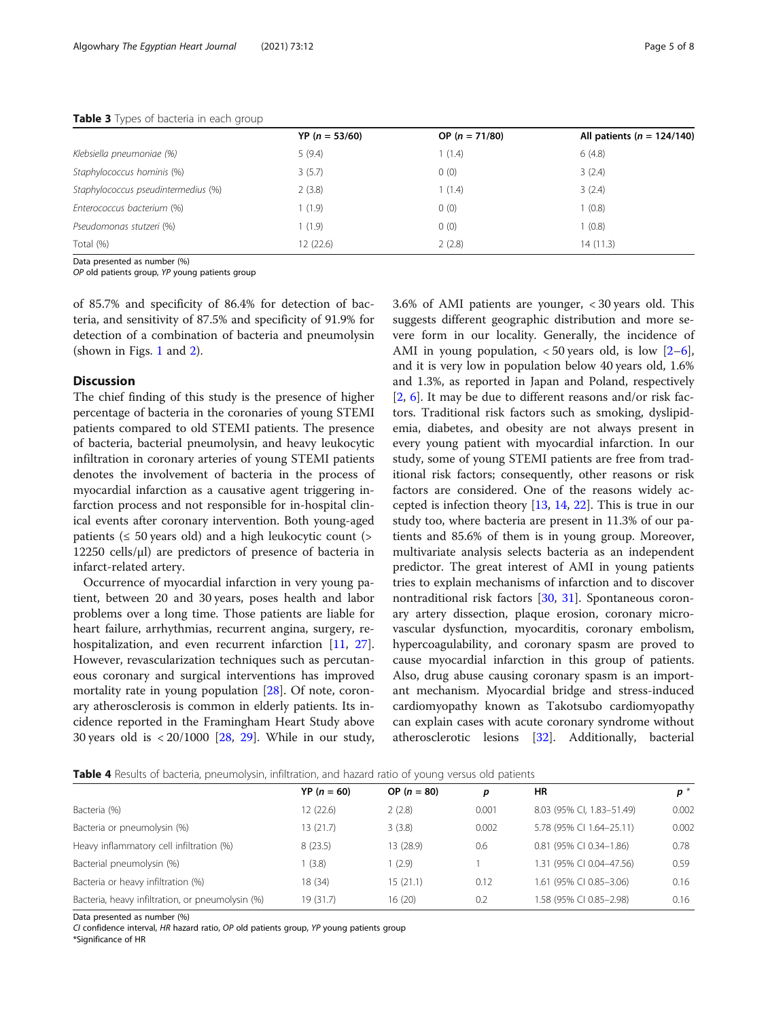# <span id="page-4-0"></span>Table 3 Types of bacteria in each group

|                                     | $YP (n = 53/60)$ | OP ( $n = 71/80$ ) | All patients ( $n = 124/140$ ) |
|-------------------------------------|------------------|--------------------|--------------------------------|
| Klebsiella pneumoniae (%)           | 5(9.4)           | (1.4)              | 6(4.8)                         |
| Staphylococcus hominis (%)          | 3(5.7)           | 0(0)               | 3(2.4)                         |
| Staphylococcus pseudintermedius (%) | 2(3.8)           | 1(1.4)             | 3(2.4)                         |
| Enterococcus bacterium (%)          | 1(1.9)           | 0(0)               | 1(0.8)                         |
| Pseudomonas stutzeri (%)            | 1(1.9)           | 0(0)               | 1(0.8)                         |
| Total (%)                           | 12(22.6)         | 2(2.8)             | 14 (11.3)                      |

Data presented as number (%)

OP old patients group, YP young patients group

of 85.7% and specificity of 86.4% for detection of bacteria, and sensitivity of 87.5% and specificity of 91.9% for detection of a combination of bacteria and pneumolysin (shown in Figs. [1](#page-5-0) and [2](#page-5-0)).

# **Discussion**

The chief finding of this study is the presence of higher percentage of bacteria in the coronaries of young STEMI patients compared to old STEMI patients. The presence of bacteria, bacterial pneumolysin, and heavy leukocytic infiltration in coronary arteries of young STEMI patients denotes the involvement of bacteria in the process of myocardial infarction as a causative agent triggering infarction process and not responsible for in-hospital clinical events after coronary intervention. Both young-aged patients ( $\leq 50$  years old) and a high leukocytic count ( $>$ 12250 cells/μl) are predictors of presence of bacteria in infarct-related artery.

Occurrence of myocardial infarction in very young patient, between 20 and 30 years, poses health and labor problems over a long time. Those patients are liable for heart failure, arrhythmias, recurrent angina, surgery, re-hospitalization, and even recurrent infarction [\[11](#page-7-0), [27](#page-7-0)]. However, revascularization techniques such as percutaneous coronary and surgical interventions has improved mortality rate in young population [[28\]](#page-7-0). Of note, coronary atherosclerosis is common in elderly patients. Its incidence reported in the Framingham Heart Study above 30 years old is < 20/1000 [[28,](#page-7-0) [29](#page-7-0)]. While in our study, 3.6% of AMI patients are younger, < 30 years old. This suggests different geographic distribution and more severe form in our locality. Generally, the incidence of AMI in young population,  $<$  50 years old, is low  $[2-6]$  $[2-6]$  $[2-6]$  $[2-6]$ , and it is very low in population below 40 years old, 1.6% and 1.3%, as reported in Japan and Poland, respectively [[2,](#page-6-0) [6\]](#page-7-0). It may be due to different reasons and/or risk factors. Traditional risk factors such as smoking, dyslipidemia, diabetes, and obesity are not always present in every young patient with myocardial infarction. In our study, some of young STEMI patients are free from traditional risk factors; consequently, other reasons or risk factors are considered. One of the reasons widely accepted is infection theory  $[13, 14, 22]$  $[13, 14, 22]$  $[13, 14, 22]$  $[13, 14, 22]$  $[13, 14, 22]$ . This is true in our study too, where bacteria are present in 11.3% of our patients and 85.6% of them is in young group. Moreover, multivariate analysis selects bacteria as an independent predictor. The great interest of AMI in young patients tries to explain mechanisms of infarction and to discover nontraditional risk factors [\[30,](#page-7-0) [31\]](#page-7-0). Spontaneous coronary artery dissection, plaque erosion, coronary microvascular dysfunction, myocarditis, coronary embolism, hypercoagulability, and coronary spasm are proved to cause myocardial infarction in this group of patients. Also, drug abuse causing coronary spasm is an important mechanism. Myocardial bridge and stress-induced cardiomyopathy known as Takotsubo cardiomyopathy can explain cases with acute coronary syndrome without atherosclerotic lesions [\[32\]](#page-7-0). Additionally, bacterial

| Table 4 Results of bacteria, pneumolysin, infiltration, and hazard ratio of young versus old patients |  |  |  |  |
|-------------------------------------------------------------------------------------------------------|--|--|--|--|
|-------------------------------------------------------------------------------------------------------|--|--|--|--|

|                                                  | $YP (n = 60)$ | OP $(n = 80)$ | p     | HR                        | $\mathbf{p}^*$ |
|--------------------------------------------------|---------------|---------------|-------|---------------------------|----------------|
| Bacteria (%)                                     | 12(22.6)      | 2(2.8)        | 0.001 | 8.03 (95% CI, 1.83-51.49) | 0.002          |
| Bacteria or pneumolysin (%)                      | 13(21.7)      | 3(3.8)        | 0.002 | 5.78 (95% CI 1.64-25.11)  | 0.002          |
| Heavy inflammatory cell infiltration (%)         | 8(23.5)       | 13 (28.9)     | 0.6   | 0.81 (95% CI 0.34-1.86)   | 0.78           |
| Bacterial pneumolysin (%)                        | 1(3.8)        | (2.9)         |       | 1.31 (95% CI 0.04-47.56)  | 0.59           |
| Bacteria or heavy infiltration (%)               | 18 (34)       | 15 (21.1)     | 0.12  | 1.61 (95% CI 0.85-3.06)   | 0.16           |
| Bacteria, heavy infiltration, or pneumolysin (%) | 19 (31.7)     | 16 (20)       | 0.2   | 1.58 (95% CI 0.85-2.98)   | 0.16           |

Data presented as number (%)

CI confidence interval, HR hazard ratio, OP old patients group, YP young patients group

\*Significance of HR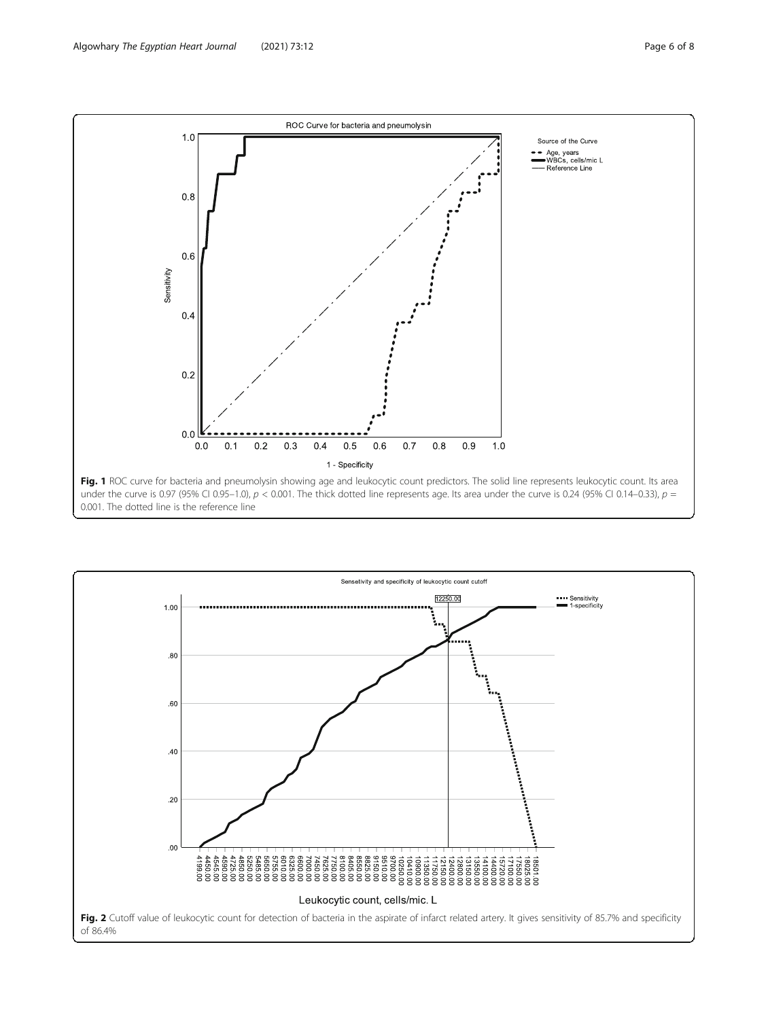<span id="page-5-0"></span>

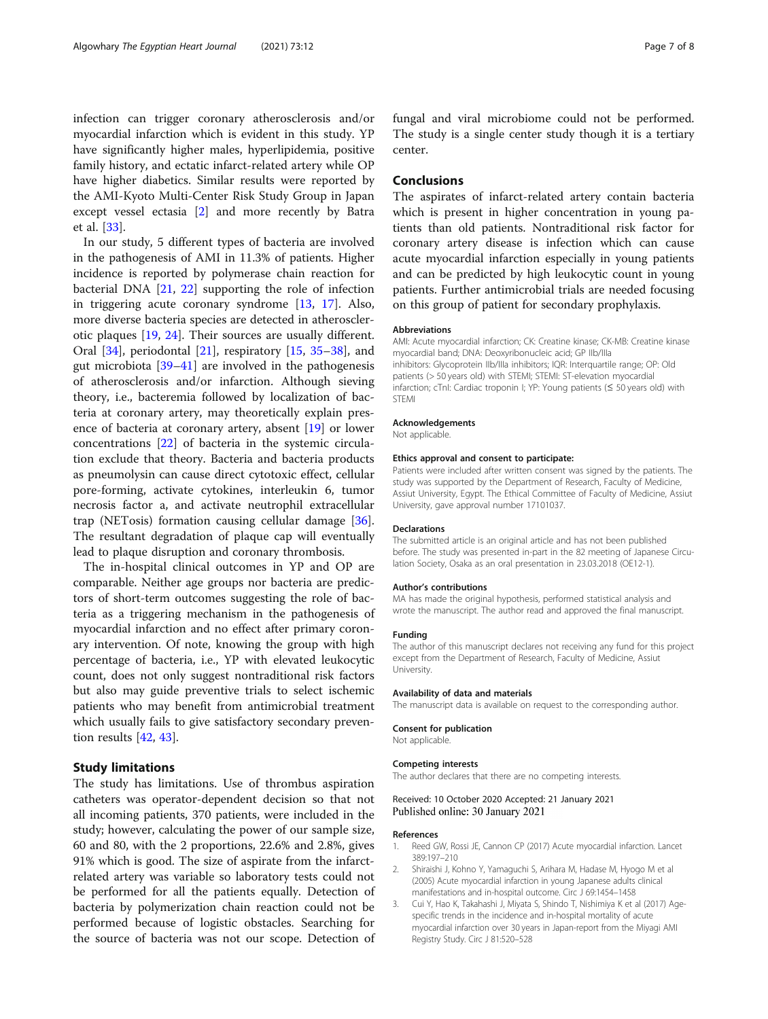<span id="page-6-0"></span>infection can trigger coronary atherosclerosis and/or myocardial infarction which is evident in this study. YP have significantly higher males, hyperlipidemia, positive family history, and ectatic infarct-related artery while OP have higher diabetics. Similar results were reported by the AMI-Kyoto Multi-Center Risk Study Group in Japan except vessel ectasia [2] and more recently by Batra et al. [\[33](#page-7-0)].

In our study, 5 different types of bacteria are involved in the pathogenesis of AMI in 11.3% of patients. Higher incidence is reported by polymerase chain reaction for bacterial DNA [\[21](#page-7-0), [22](#page-7-0)] supporting the role of infection in triggering acute coronary syndrome [\[13](#page-7-0), [17](#page-7-0)]. Also, more diverse bacteria species are detected in atherosclerotic plaques [[19,](#page-7-0) [24\]](#page-7-0). Their sources are usually different. Oral [\[34\]](#page-7-0), periodontal [[21\]](#page-7-0), respiratory [[15,](#page-7-0) [35](#page-7-0)–[38](#page-7-0)], and gut microbiota [\[39](#page-7-0)–[41\]](#page-7-0) are involved in the pathogenesis of atherosclerosis and/or infarction. Although sieving theory, i.e., bacteremia followed by localization of bacteria at coronary artery, may theoretically explain presence of bacteria at coronary artery, absent [\[19\]](#page-7-0) or lower concentrations [[22\]](#page-7-0) of bacteria in the systemic circulation exclude that theory. Bacteria and bacteria products as pneumolysin can cause direct cytotoxic effect, cellular pore-forming, activate cytokines, interleukin 6, tumor necrosis factor a, and activate neutrophil extracellular trap (NETosis) formation causing cellular damage [\[36](#page-7-0)]. The resultant degradation of plaque cap will eventually lead to plaque disruption and coronary thrombosis.

The in-hospital clinical outcomes in YP and OP are comparable. Neither age groups nor bacteria are predictors of short-term outcomes suggesting the role of bacteria as a triggering mechanism in the pathogenesis of myocardial infarction and no effect after primary coronary intervention. Of note, knowing the group with high percentage of bacteria, i.e., YP with elevated leukocytic count, does not only suggest nontraditional risk factors but also may guide preventive trials to select ischemic patients who may benefit from antimicrobial treatment which usually fails to give satisfactory secondary prevention results [[42](#page-7-0), [43](#page-7-0)].

# Study limitations

The study has limitations. Use of thrombus aspiration catheters was operator-dependent decision so that not all incoming patients, 370 patients, were included in the study; however, calculating the power of our sample size, 60 and 80, with the 2 proportions, 22.6% and 2.8%, gives 91% which is good. The size of aspirate from the infarctrelated artery was variable so laboratory tests could not be performed for all the patients equally. Detection of bacteria by polymerization chain reaction could not be performed because of logistic obstacles. Searching for the source of bacteria was not our scope. Detection of fungal and viral microbiome could not be performed. The study is a single center study though it is a tertiary center.

# Conclusions

The aspirates of infarct-related artery contain bacteria which is present in higher concentration in young patients than old patients. Nontraditional risk factor for coronary artery disease is infection which can cause acute myocardial infarction especially in young patients and can be predicted by high leukocytic count in young patients. Further antimicrobial trials are needed focusing on this group of patient for secondary prophylaxis.

#### Abbreviations

AMI: Acute myocardial infarction; CK: Creatine kinase; CK-MB: Creatine kinase myocardial band; DNA: Deoxyribonucleic acid; GP IIb/IIIa inhibitors: Glycoprotein IIb/IIIa inhibitors; IQR: Interquartile range; OP: Old patients (> 50 years old) with STEMI; STEMI: ST-elevation myocardial infarction; cTnI: Cardiac troponin I; YP: Young patients (≤ 50 years old) with STEMI

#### Acknowledgements

Not applicable.

#### Ethics approval and consent to participate:

Patients were included after written consent was signed by the patients. The study was supported by the Department of Research, Faculty of Medicine, Assiut University, Egypt. The Ethical Committee of Faculty of Medicine, Assiut University, gave approval number 17101037.

#### Declarations

The submitted article is an original article and has not been published before. The study was presented in-part in the 82 meeting of Japanese Circulation Society, Osaka as an oral presentation in 23.03.2018 (OE12-1).

#### Author's contributions

MA has made the original hypothesis, performed statistical analysis and wrote the manuscript. The author read and approved the final manuscript.

### Funding

The author of this manuscript declares not receiving any fund for this project except from the Department of Research, Faculty of Medicine, Assiut University.

#### Availability of data and materials

The manuscript data is available on request to the corresponding author.

# Consent for publication

Not applicable.

#### Competing interests

The author declares that there are no competing interests.

# Received: 10 October 2020 Accepted: 21 January 2021 Published online: 30 January 2021

#### References

- 1. Reed GW, Rossi JE, Cannon CP (2017) Acute myocardial infarction. Lancet 389:197–210
- 2. Shiraishi J, Kohno Y, Yamaguchi S, Arihara M, Hadase M, Hyogo M et al (2005) Acute myocardial infarction in young Japanese adults clinical manifestations and in-hospital outcome. Circ J 69:1454–1458
- 3. Cui Y, Hao K, Takahashi J, Miyata S, Shindo T, Nishimiya K et al (2017) Agespecific trends in the incidence and in-hospital mortality of acute myocardial infarction over 30 years in Japan-report from the Miyagi AMI Registry Study. Circ J 81:520–528